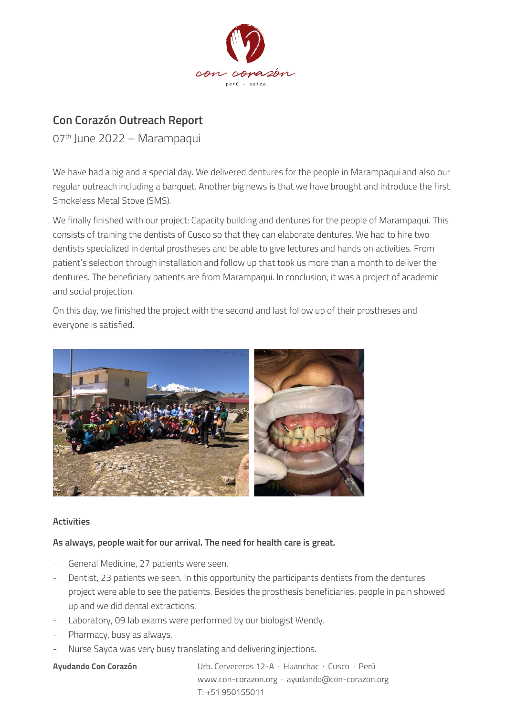

# **Con Corazón Outreach Report**

07 th June 2022 – Marampaqui

We have had a big and a special day. We delivered dentures for the people in Marampaqui and also our regular outreach including a banquet. Another big news is that we have brought and introduce the first Smokeless Metal Stove (SMS).

We finally finished with our project: Capacity building and dentures for the people of Marampaqui. This consists of training the dentists of Cusco so that they can elaborate dentures. We had to hire two dentists specialized in dental prostheses and be able to give lectures and hands on activities. From patient's selection through installation and follow up that took us more than a month to deliver the dentures. The beneficiary patients are from Marampaqui. In conclusion, it was a project of academic and social projection.

On this day, we finished the project with the second and last follow up of their prostheses and everyone is satisfied.



## **Activities**

## **As always, people wait for our arrival. The need for health care is great.**

- General Medicine, 27 patients were seen.
- Dentist, 23 patients we seen. In this opportunity the participants dentists from the dentures project were able to see the patients. Besides the prosthesis beneficiaries, people in pain showed up and we did dental extractions.
- Laboratory, 09 lab exams were performed by our biologist Wendy.
- Pharmacy, busy as always.
- Nurse Sayda was very busy translating and delivering injections.

**Ayudando Con Corazón** Urb. Cerveceros 12-A · Huanchac · Cusco · Perú www.con-corazon.org · ayudando@con-corazon.org T: +51 950155011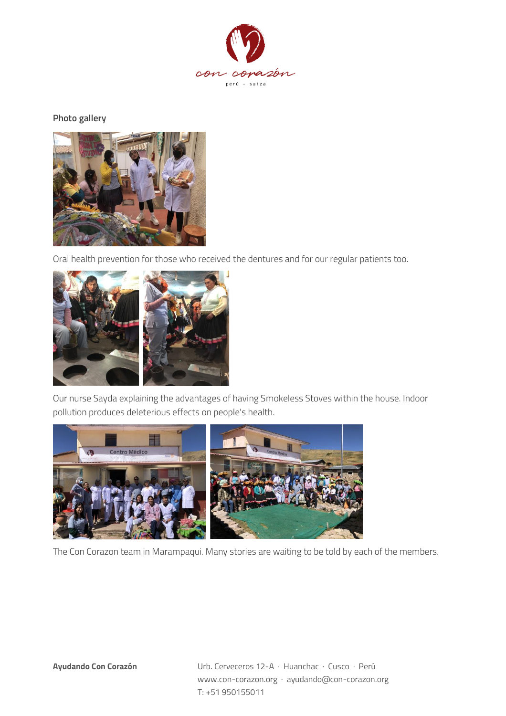

#### **Photo gallery**



Oral health prevention for those who received the dentures and for our regular patients too.



Our nurse Sayda explaining the advantages of having Smokeless Stoves within the house. Indoor pollution produces deleterious effects on people's health.



The Con Corazon team in Marampaqui. Many stories are waiting to be told by each of the members.